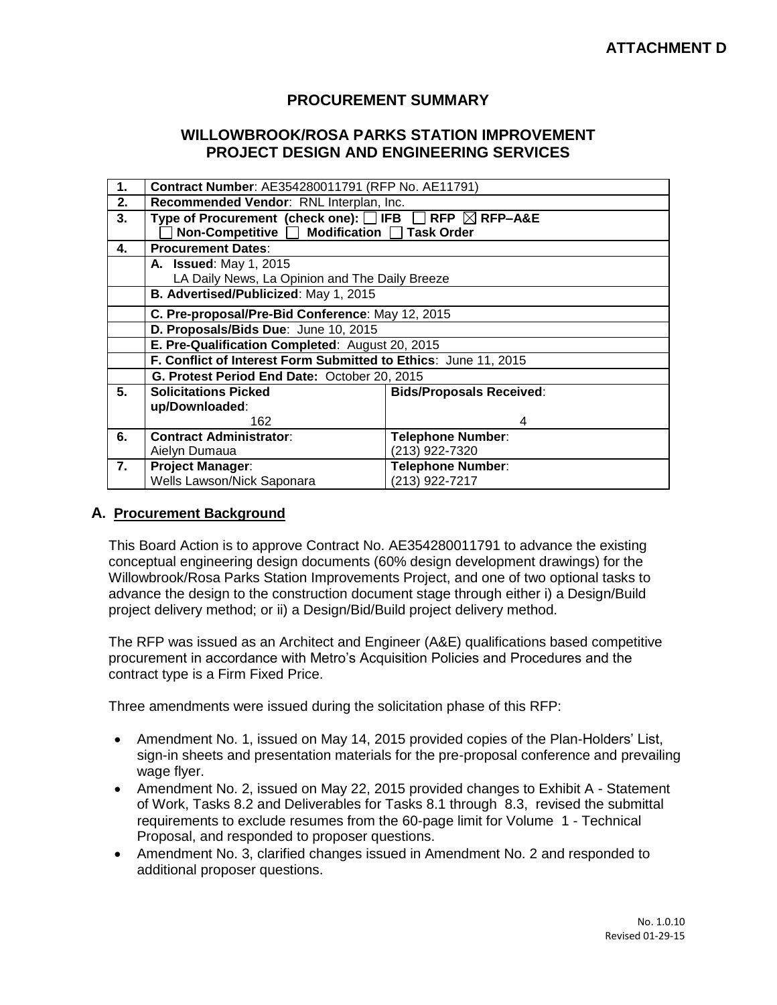# **PROCUREMENT SUMMARY**

## **WILLOWBROOK/ROSA PARKS STATION IMPROVEMENT PROJECT DESIGN AND ENGINEERING SERVICES**

| 1. | <b>Contract Number: AE354280011791 (RFP No. AE11791)</b>        |                                 |  |  |  |
|----|-----------------------------------------------------------------|---------------------------------|--|--|--|
| 2. | Recommended Vendor: RNL Interplan, Inc.                         |                                 |  |  |  |
| 3. | Type of Procurement (check one): □ IFB □ RFP ⊠ RFP-A&E          |                                 |  |  |  |
|    | Non-Competitive □ Modification □ Task Order                     |                                 |  |  |  |
| 4. | <b>Procurement Dates:</b>                                       |                                 |  |  |  |
|    | <b>A.</b> Issued: May 1, 2015                                   |                                 |  |  |  |
|    | LA Daily News, La Opinion and The Daily Breeze                  |                                 |  |  |  |
|    | B. Advertised/Publicized: May 1, 2015                           |                                 |  |  |  |
|    | C. Pre-proposal/Pre-Bid Conference: May 12, 2015                |                                 |  |  |  |
|    | D. Proposals/Bids Due: June 10, 2015                            |                                 |  |  |  |
|    | E. Pre-Qualification Completed: August 20, 2015                 |                                 |  |  |  |
|    | F. Conflict of Interest Form Submitted to Ethics: June 11, 2015 |                                 |  |  |  |
|    | G. Protest Period End Date: October 20, 2015                    |                                 |  |  |  |
| 5. | <b>Solicitations Picked</b>                                     | <b>Bids/Proposals Received:</b> |  |  |  |
|    | up/Downloaded:                                                  |                                 |  |  |  |
|    | 162                                                             | 4                               |  |  |  |
| 6. | <b>Contract Administrator:</b>                                  | <b>Telephone Number:</b>        |  |  |  |
|    | Aielyn Dumaua                                                   | (213) 922-7320                  |  |  |  |
| 7. | <b>Project Manager:</b>                                         | <b>Telephone Number:</b>        |  |  |  |
|    | Wells Lawson/Nick Saponara                                      | (213) 922-7217                  |  |  |  |

### **A. Procurement Background**

This Board Action is to approve Contract No. AE354280011791 to advance the existing conceptual engineering design documents (60% design development drawings) for the Willowbrook/Rosa Parks Station Improvements Project, and one of two optional tasks to advance the design to the construction document stage through either i) a Design/Build project delivery method; or ii) a Design/Bid/Build project delivery method.

The RFP was issued as an Architect and Engineer (A&E) qualifications based competitive procurement in accordance with Metro's Acquisition Policies and Procedures and the contract type is a Firm Fixed Price.

Three amendments were issued during the solicitation phase of this RFP:

- Amendment No. 1, issued on May 14, 2015 provided copies of the Plan-Holders' List, sign-in sheets and presentation materials for the pre-proposal conference and prevailing wage flyer.
- Amendment No. 2, issued on May 22, 2015 provided changes to Exhibit A Statement of Work, Tasks 8.2 and Deliverables for Tasks 8.1 through 8.3, revised the submittal requirements to exclude resumes from the 60-page limit for Volume 1 - Technical Proposal, and responded to proposer questions.
- Amendment No. 3, clarified changes issued in Amendment No. 2 and responded to additional proposer questions.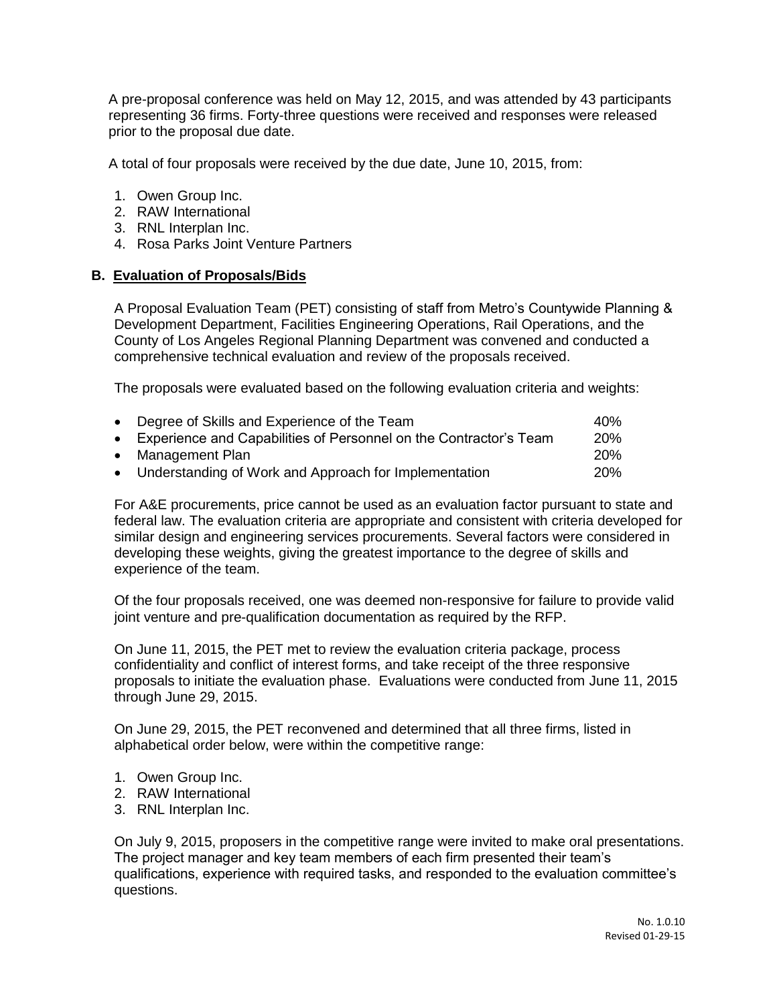A pre-proposal conference was held on May 12, 2015, and was attended by 43 participants representing 36 firms. Forty-three questions were received and responses were released prior to the proposal due date.

A total of four proposals were received by the due date, June 10, 2015, from:

- 1. Owen Group Inc.
- 2. RAW International
- 3. RNL Interplan Inc.
- 4. Rosa Parks Joint Venture Partners

#### **B. Evaluation of Proposals/Bids**

A Proposal Evaluation Team (PET) consisting of staff from Metro's Countywide Planning & Development Department, Facilities Engineering Operations, Rail Operations, and the County of Los Angeles Regional Planning Department was convened and conducted a comprehensive technical evaluation and review of the proposals received.

The proposals were evaluated based on the following evaluation criteria and weights:

| • Degree of Skills and Experience of the Team                       | 40% |
|---------------------------------------------------------------------|-----|
| • Experience and Capabilities of Personnel on the Contractor's Team | 20% |
| • Management Plan                                                   | 20% |
| • Understanding of Work and Approach for Implementation             | 20% |

For A&E procurements, price cannot be used as an evaluation factor pursuant to state and federal law. The evaluation criteria are appropriate and consistent with criteria developed for similar design and engineering services procurements. Several factors were considered in developing these weights, giving the greatest importance to the degree of skills and experience of the team.

Of the four proposals received, one was deemed non-responsive for failure to provide valid joint venture and pre-qualification documentation as required by the RFP.

On June 11, 2015, the PET met to review the evaluation criteria package, process confidentiality and conflict of interest forms, and take receipt of the three responsive proposals to initiate the evaluation phase. Evaluations were conducted from June 11, 2015 through June 29, 2015.

On June 29, 2015, the PET reconvened and determined that all three firms, listed in alphabetical order below, were within the competitive range:

- 1. Owen Group Inc.
- 2. RAW International
- 3. RNL Interplan Inc.

On July 9, 2015, proposers in the competitive range were invited to make oral presentations. The project manager and key team members of each firm presented their team's qualifications, experience with required tasks, and responded to the evaluation committee's questions.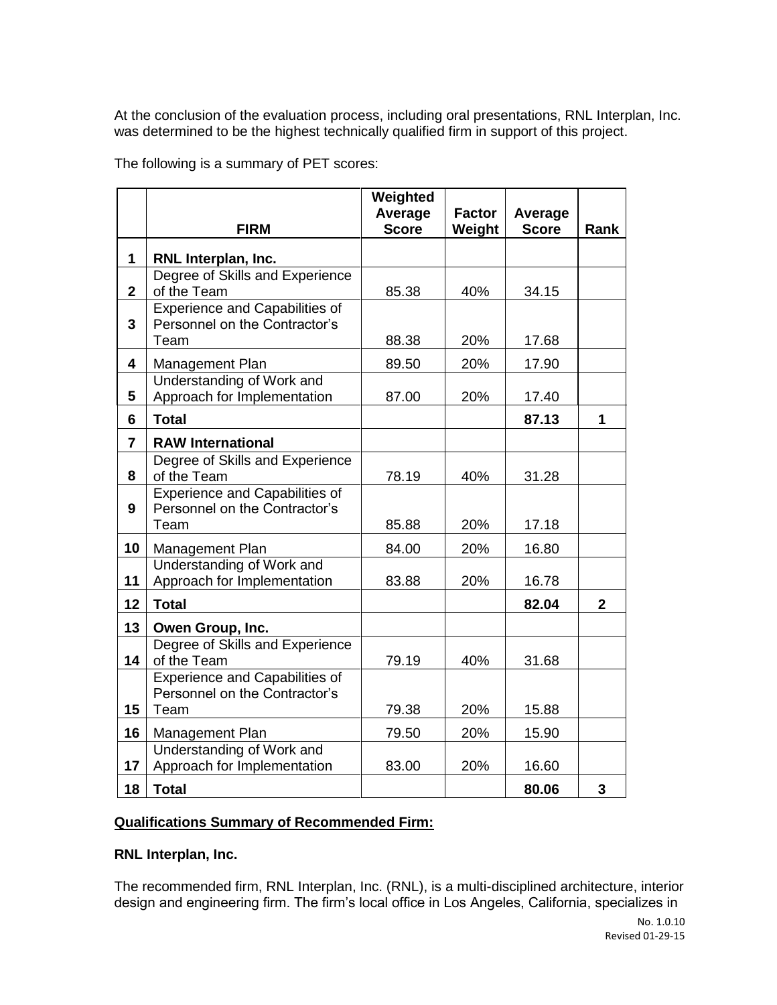At the conclusion of the evaluation process, including oral presentations, RNL Interplan, Inc. was determined to be the highest technically qualified firm in support of this project.

The following is a summary of PET scores:

|                |                                                                                | Weighted                |                         |                         |              |
|----------------|--------------------------------------------------------------------------------|-------------------------|-------------------------|-------------------------|--------------|
|                | <b>FIRM</b>                                                                    | Average<br><b>Score</b> | <b>Factor</b><br>Weight | Average<br><b>Score</b> | Rank         |
| 1              | RNL Interplan, Inc.                                                            |                         |                         |                         |              |
| $\mathbf 2$    | Degree of Skills and Experience<br>of the Team                                 | 85.38                   | 40%                     | 34.15                   |              |
| 3              | <b>Experience and Capabilities of</b><br>Personnel on the Contractor's<br>Team | 88.38                   | 20%                     | 17.68                   |              |
| 4              | Management Plan                                                                | 89.50                   | 20%                     | 17.90                   |              |
| 5              | Understanding of Work and<br>Approach for Implementation                       | 87.00                   | 20%                     | 17.40                   |              |
| $6\phantom{1}$ | <b>Total</b>                                                                   |                         |                         | 87.13                   | 1            |
| $\overline{7}$ | <b>RAW International</b>                                                       |                         |                         |                         |              |
| 8              | Degree of Skills and Experience<br>of the Team                                 | 78.19                   | 40%                     | 31.28                   |              |
| 9              | <b>Experience and Capabilities of</b><br>Personnel on the Contractor's<br>Team | 85.88                   | 20%                     | 17.18                   |              |
| 10             | Management Plan                                                                | 84.00                   | 20%                     | 16.80                   |              |
| 11             | Understanding of Work and<br>Approach for Implementation                       | 83.88                   | 20%                     | 16.78                   |              |
| 12             | <b>Total</b>                                                                   |                         |                         | 82.04                   | $\mathbf{2}$ |
| 13             | Owen Group, Inc.                                                               |                         |                         |                         |              |
| 14             | Degree of Skills and Experience<br>of the Team                                 | 79.19                   | 40%                     | 31.68                   |              |
| 15             | Experience and Capabilities of<br>Personnel on the Contractor's<br>Team        | 79.38                   | 20%                     | 15.88                   |              |
| 16             | Management Plan                                                                | 79.50                   | 20%                     | 15.90                   |              |
| 17             | Understanding of Work and<br>Approach for Implementation                       | 83.00                   | 20%                     | 16.60                   |              |
| 18             | <b>Total</b>                                                                   |                         |                         | 80.06                   | 3            |

### **Qualifications Summary of Recommended Firm:**

#### **RNL Interplan, Inc.**

The recommended firm, RNL Interplan, Inc. (RNL), is a multi-disciplined architecture, interior design and engineering firm. The firm's local office in Los Angeles, California, specializes in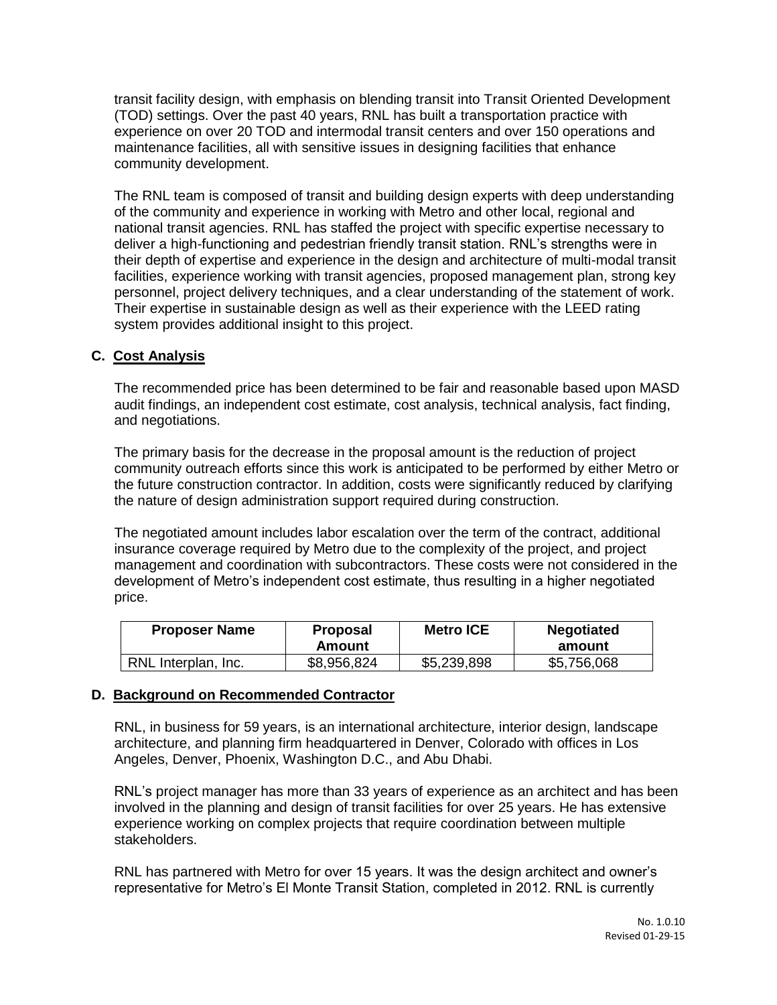transit facility design, with emphasis on blending transit into Transit Oriented Development (TOD) settings. Over the past 40 years, RNL has built a transportation practice with experience on over 20 TOD and intermodal transit centers and over 150 operations and maintenance facilities, all with sensitive issues in designing facilities that enhance community development.

The RNL team is composed of transit and building design experts with deep understanding of the community and experience in working with Metro and other local, regional and national transit agencies. RNL has staffed the project with specific expertise necessary to deliver a high-functioning and pedestrian friendly transit station. RNL's strengths were in their depth of expertise and experience in the design and architecture of multi-modal transit facilities, experience working with transit agencies, proposed management plan, strong key personnel, project delivery techniques, and a clear understanding of the statement of work. Their expertise in sustainable design as well as their experience with the LEED rating system provides additional insight to this project.

### **C. Cost Analysis**

The recommended price has been determined to be fair and reasonable based upon MASD audit findings, an independent cost estimate, cost analysis, technical analysis, fact finding, and negotiations.

The primary basis for the decrease in the proposal amount is the reduction of project community outreach efforts since this work is anticipated to be performed by either Metro or the future construction contractor. In addition, costs were significantly reduced by clarifying the nature of design administration support required during construction.

The negotiated amount includes labor escalation over the term of the contract, additional insurance coverage required by Metro due to the complexity of the project, and project management and coordination with subcontractors. These costs were not considered in the development of Metro's independent cost estimate, thus resulting in a higher negotiated price.

| <b>Proposer Name</b> | <b>Proposal</b><br>Amount | <b>Metro ICE</b> | <b>Negotiated</b><br>amount |
|----------------------|---------------------------|------------------|-----------------------------|
| RNL Interplan, Inc.  | \$8,956,824               | \$5,239,898      | \$5,756,068                 |

### **D. Background on Recommended Contractor**

RNL, in business for 59 years, is an international architecture, interior design, landscape architecture, and planning firm headquartered in Denver, Colorado with offices in Los Angeles, Denver, Phoenix, Washington D.C., and Abu Dhabi.

RNL's project manager has more than 33 years of experience as an architect and has been involved in the planning and design of transit facilities for over 25 years. He has extensive experience working on complex projects that require coordination between multiple stakeholders.

RNL has partnered with Metro for over 15 years. It was the design architect and owner's representative for Metro's El Monte Transit Station, completed in 2012. RNL is currently